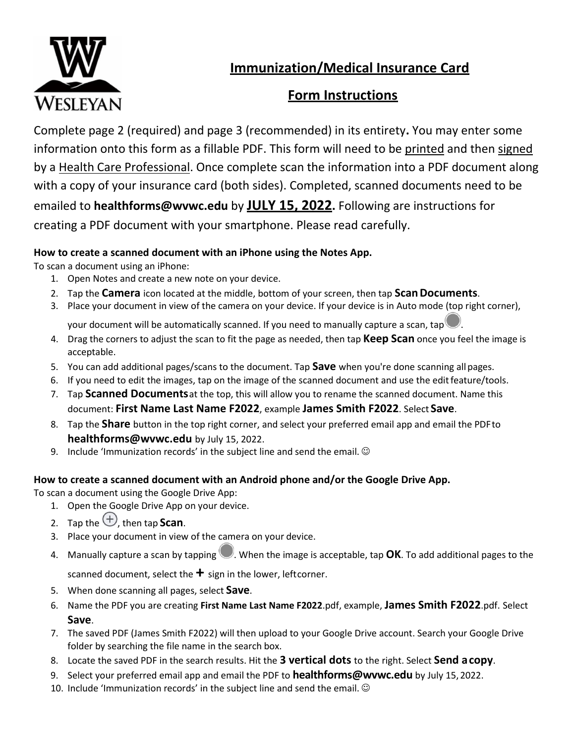

**Immunization/Medical Insurance Card**

## **Form Instructions**

Complete page 2 (required) and page 3 (recommended) in its entirety**.** You may enter some information onto this form as a fillable PDF. This form will need to be printed and then signed by a Health Care Professional. Once complete scan the information into a PDF document along with a copy of your insurance card (both sides). Completed, scanned documents need to be emailed to **[healthforms@wvwc.edu](mailto:healthforms@wvwc.edu)** by **JULY 15, 2022.** Following are instructions for creating a PDF document with your smartphone. Please read carefully.

#### **How to create a scanned document with an iPhone using the Notes App.**

To scan a document using an iPhone:

- 1. Open Notes and create a new note on your device.
- 2. Tap the **Camera** icon located at the middle, bottom of your screen, then tap **ScanDocuments**.
- 3. Place your document in view of the camera on your device. If your device is in Auto mode (top right corner),

your document will be automatically scanned. If you need to manually capture a scan, tap

- 4. Drag the corners to adjust the scan to fit the page as needed, then tap **Keep Scan** once you feel the image is acceptable.
- 5. You can add additional pages/scans to the document. Tap **Save** when you're done scanning allpages.
- 6. If you need to edit the images, tap on the image of the scanned document and use the editfeature/tools.
- 7. Tap **Scanned Documents**at the top, this will allow you to rename the scanned document. Name this document: **First Name Last Name F2022**, example **James Smith F2022**. Select **Save**.
- 8. Tap the **Share** button in the top right corner, and select your preferred email app and email the PDFto **[healthforms@wvwc.edu](mailto:healthforms@wvwc.edu)** by July 15, 2022.
- 9. Include 'Immunization records' in the subject line and send the email.  $\odot$

#### **How to create a scanned document with an Android phone and/or the Google Drive App.**

To scan a document using the Google Drive App:

- 1. Open the Google Drive App on your device.
- 2. Tap the  $\bigoplus$ , then tap **Scan**.
- 3. Place your document in view of the camera on your device.
- 4. Manually capture a scan by tapping  $\Box$ . When the image is acceptable, tap **OK**. To add additional pages to the

scanned document, select the **+** sign in the lower, leftcorner.

- 5. When done scanning all pages, select **Save**.
- 6. Name the PDF you are creating **First Name Last Name F2022**.pdf, example, **James Smith F2022**.pdf. Select **Save**.
- 7. The saved PDF (James Smith F2022) will then upload to your Google Drive account. Search your Google Drive folder by searching the file name in the search box.
- 8. Locate the saved PDF in the search results. Hit the **3 vertical dots** to the right. Select **Send acopy**.
- 9. Select your preferred email app and email the PDF to **[healthforms@wvwc.edu](mailto:healthforms@wvwc.edu)** by July 15, 2022.
- 10. Include 'Immunization records' in the subject line and send the email.  $\odot$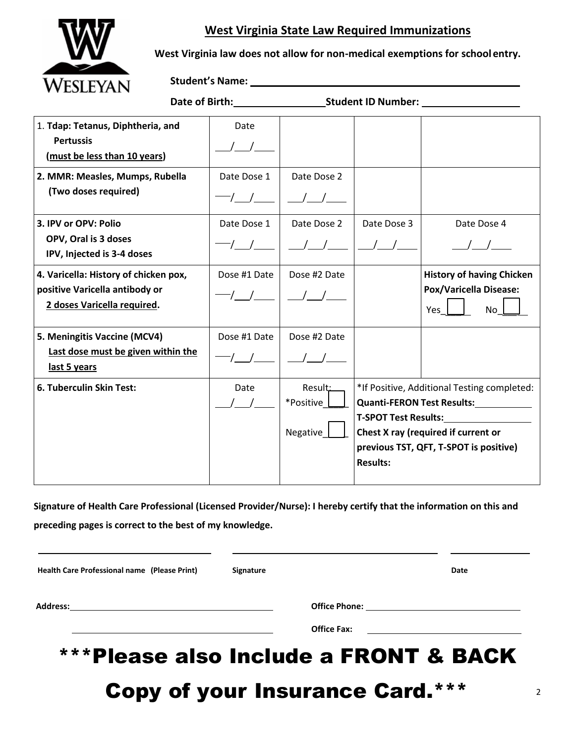### **West Virginia State Law Required Immunizations**



**West Virginia law does not allow for non-medical exemptions for school entry.**

**Student's Name:**

| <b>OLUMCIIL ID ITUIIIN</b>                                                                             |              |                                  |                                                                                                                                                                                                                                          |                                                                                |  |  |  |
|--------------------------------------------------------------------------------------------------------|--------------|----------------------------------|------------------------------------------------------------------------------------------------------------------------------------------------------------------------------------------------------------------------------------------|--------------------------------------------------------------------------------|--|--|--|
| 1. Tdap: Tetanus, Diphtheria, and<br><b>Pertussis</b><br>(must be less than 10 years)                  | Date         |                                  |                                                                                                                                                                                                                                          |                                                                                |  |  |  |
| 2. MMR: Measles, Mumps, Rubella<br>(Two doses required)                                                | Date Dose 1  | Date Dose 2                      |                                                                                                                                                                                                                                          |                                                                                |  |  |  |
| 3. IPV or OPV: Polio<br>OPV, Oral is 3 doses<br>IPV, Injected is 3-4 doses                             | Date Dose 1  | Date Dose 2                      | Date Dose 3                                                                                                                                                                                                                              | Date Dose 4                                                                    |  |  |  |
| 4. Varicella: History of chicken pox,<br>positive Varicella antibody or<br>2 doses Varicella required. | Dose #1 Date | Dose #2 Date                     |                                                                                                                                                                                                                                          | <b>History of having Chicken</b><br><b>Pox/Varicella Disease:</b><br>Yes<br>No |  |  |  |
| 5. Meningitis Vaccine (MCV4)<br>Last dose must be given within the<br>last 5 years                     | Dose #1 Date | Dose #2 Date                     |                                                                                                                                                                                                                                          |                                                                                |  |  |  |
| 6. Tuberculin Skin Test:                                                                               | Date         | Result:<br>*Positive<br>Negative | *If Positive, Additional Testing completed:<br><b>Quanti-FERON Test Results:</b><br><b>T-SPOT Test Results:</b> T-SPOT Test Results:<br>Chest X ray (required if current or<br>previous TST, QFT, T-SPOT is positive)<br><b>Results:</b> |                                                                                |  |  |  |

**Date of Birth: Student ID Number:**

**Signature of Health Care Professional (Licensed Provider/Nurse): I hereby certify that the information on this and preceding pages is correct to the best of my knowledge.**

| Health Care Professional name (Please Print)                              | Signature |                                                                                                                                            | Date |
|---------------------------------------------------------------------------|-----------|--------------------------------------------------------------------------------------------------------------------------------------------|------|
| Address:<br><u> 1989 - Andrea Stadt British, fransk politik (d. 1989)</u> |           | Office Phone: <u>__________________________________</u>                                                                                    |      |
|                                                                           |           | <b>Office Fax:</b><br><u> 1980 - Jan Stein Stein Stein Stein Stein Stein Stein Stein Stein Stein Stein Stein Stein Stein Stein Stein S</u> |      |

# \*\*\*Please also Include a FRONT & BACK

Copy of your Insurance Card.\*\*\*